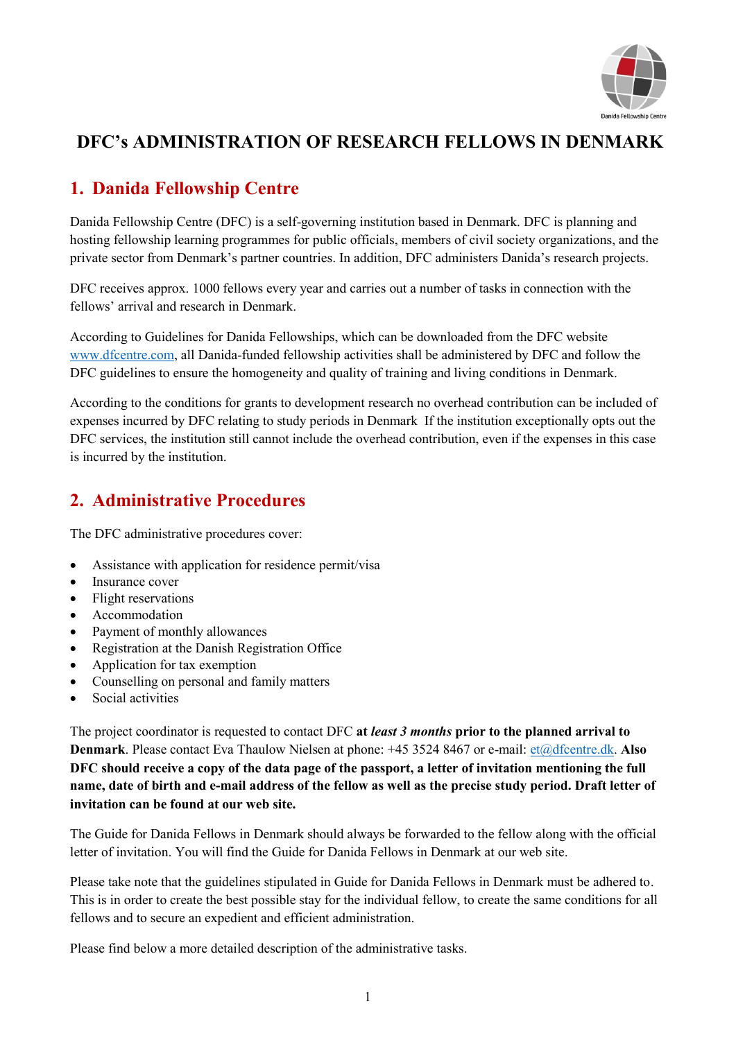

# **DFC's ADMINISTRATION OF RESEARCH FELLOWS IN DENMARK**

# **1. Danida Fellowship Centre**

Danida Fellowship Centre (DFC) is a self-governing institution based in Denmark. DFC is planning and hosting fellowship learning programmes for public officials, members of civil society organizations, and the private sector from Denmark's partner countries. In addition, DFC administers Danida's research projects.

DFC receives approx. 1000 fellows every year and carries out a number of tasks in connection with the fellows' arrival and research in Denmark.

According to Guidelines for Danida Fellowships, which can be downloaded from the DFC website [www.dfcentre.com,](http://www.dfcentre.com/) all Danida-funded fellowship activities shall be administered by DFC and follow the DFC guidelines to ensure the homogeneity and quality of training and living conditions in Denmark.

According to the conditions for grants to development research no overhead contribution can be included of expenses incurred by DFC relating to study periods in Denmark If the institution exceptionally opts out the DFC services, the institution still cannot include the overhead contribution, even if the expenses in this case is incurred by the institution.

## **2. Administrative Procedures**

The DFC administrative procedures cover:

- Assistance with application for residence permit/visa
- Insurance cover
- Flight reservations
- Accommodation
- Payment of monthly allowances
- Registration at the Danish Registration Office
- Application for tax exemption
- Counselling on personal and family matters
- Social activities

The project coordinator is requested to contact DFC **at** *least 3 months* **prior to the planned arrival to Denmark**. Please contact Eva Thaulow Nielsen at phone: +45 3524 8467 or e-mail: [et@dfcentre.dk.](mailto:et@dfcentre.dk) Also **DFC should receive a copy of the data page of the passport, a letter of invitation mentioning the full name, date of birth and e-mail address of the fellow as well as the precise study period. Draft letter of invitation can be found at our web site.**

The Guide for Danida Fellows in Denmark should always be forwarded to the fellow along with the official letter of invitation. You will find the Guide for Danida Fellows in Denmark at our web site.

Please take note that the guidelines stipulated in Guide for Danida Fellows in Denmark must be adhered to. This is in order to create the best possible stay for the individual fellow, to create the same conditions for all fellows and to secure an expedient and efficient administration.

Please find below a more detailed description of the administrative tasks.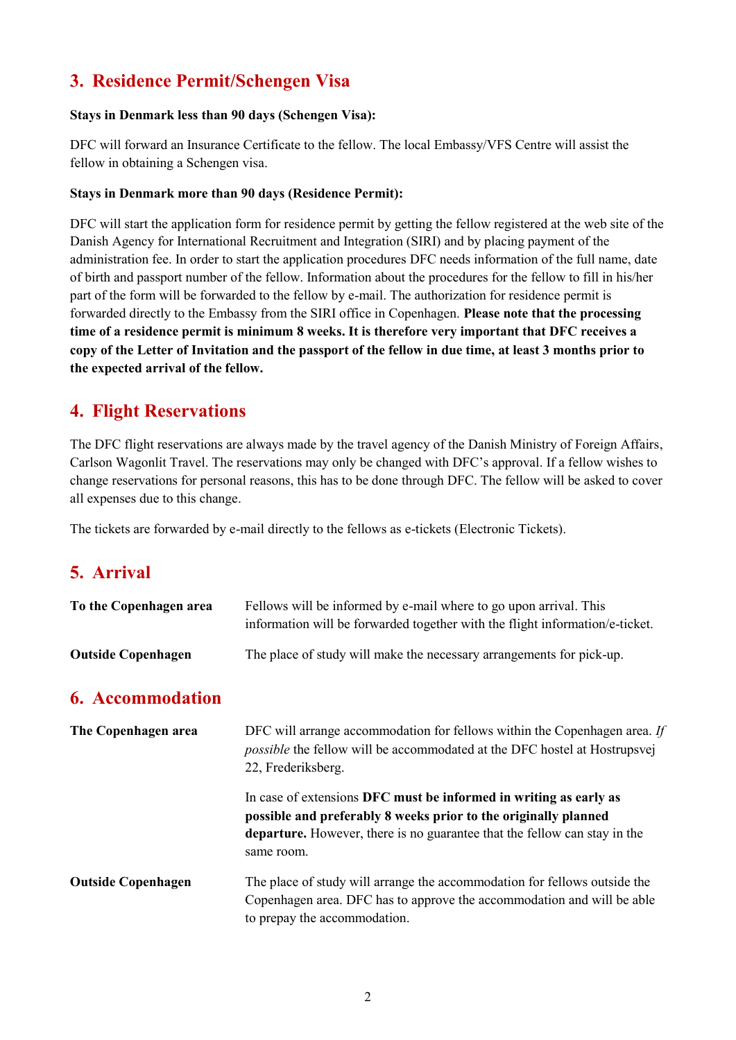# **3. Residence Permit/Schengen Visa**

#### **Stays in Denmark less than 90 days (Schengen Visa):**

DFC will forward an Insurance Certificate to the fellow. The local Embassy/VFS Centre will assist the fellow in obtaining a Schengen visa.

#### **Stays in Denmark more than 90 days (Residence Permit):**

DFC will start the application form for residence permit by getting the fellow registered at the web site of the Danish Agency for International Recruitment and Integration (SIRI) and by placing payment of the administration fee. In order to start the application procedures DFC needs information of the full name, date of birth and passport number of the fellow. Information about the procedures for the fellow to fill in his/her part of the form will be forwarded to the fellow by e-mail. The authorization for residence permit is forwarded directly to the Embassy from the SIRI office in Copenhagen. **Please note that the processing time of a residence permit is minimum 8 weeks. It is therefore very important that DFC receives a copy of the Letter of Invitation and the passport of the fellow in due time, at least 3 months prior to the expected arrival of the fellow.**

## **4. Flight Reservations**

The DFC flight reservations are always made by the travel agency of the Danish Ministry of Foreign Affairs, Carlson Wagonlit Travel. The reservations may only be changed with DFC's approval. If a fellow wishes to change reservations for personal reasons, this has to be done through DFC. The fellow will be asked to cover all expenses due to this change.

The tickets are forwarded by e-mail directly to the fellows as e-tickets (Electronic Tickets).

### **5. Arrival**

| To the Copenhagen area    | Fellows will be informed by e-mail where to go upon arrival. This<br>information will be forwarded together with the flight information/e-ticket.                            |
|---------------------------|------------------------------------------------------------------------------------------------------------------------------------------------------------------------------|
| <b>Outside Copenhagen</b> | The place of study will make the necessary arrangements for pick-up.                                                                                                         |
| <b>6.</b> Accommodation   |                                                                                                                                                                              |
| The Copenhagen area       | DFC will arrange accommodation for fellows within the Copenhagen area. If<br>possible the fellow will be accommodated at the DFC hostel at Hostrupsvej<br>22, Frederiksberg. |
|                           | In case of extensions DFC must be informed in writing as early as                                                                                                            |

**possible and preferably 8 weeks prior to the originally planned departure.** However, there is no guarantee that the fellow can stay in the same room.

**Outside Copenhagen** The place of study will arrange the accommodation for fellows outside the Copenhagen area. DFC has to approve the accommodation and will be able to prepay the accommodation.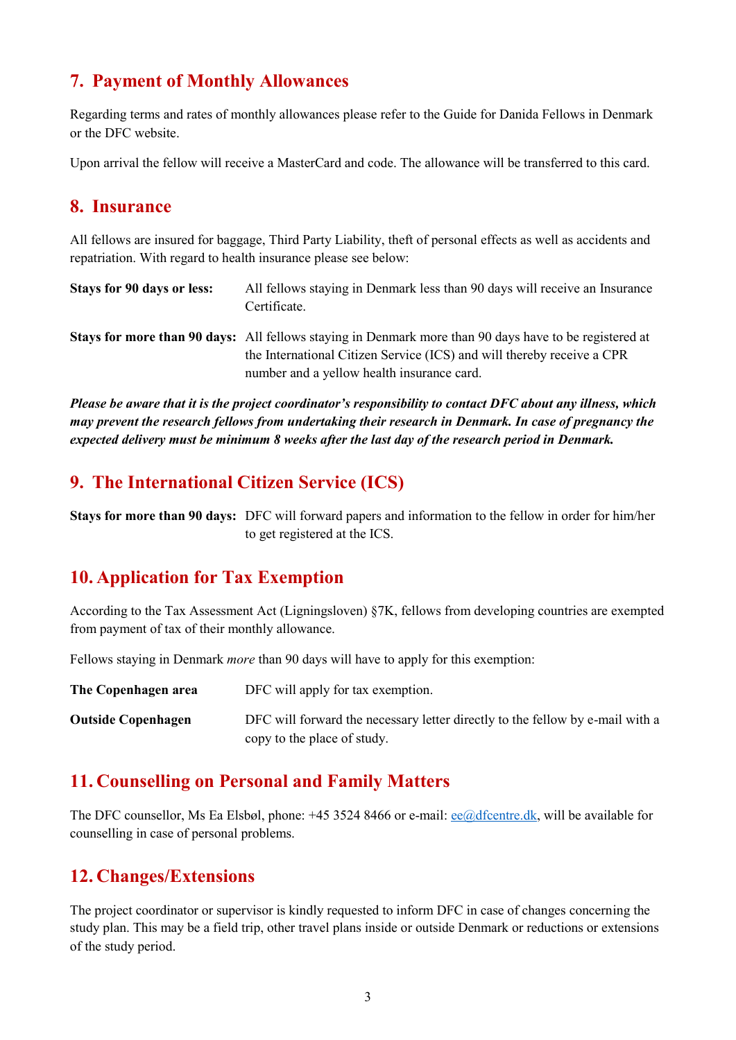## **7. Payment of Monthly Allowances**

Regarding terms and rates of monthly allowances please refer to the Guide for Danida Fellows in Denmark or the DFC website.

Upon arrival the fellow will receive a MasterCard and code. The allowance will be transferred to this card.

#### **8. Insurance**

All fellows are insured for baggage, Third Party Liability, theft of personal effects as well as accidents and repatriation. With regard to health insurance please see below:

| Stays for 90 days or less: | All fellows staying in Denmark less than 90 days will receive an Insurance<br>Certificate.                                                                                              |
|----------------------------|-----------------------------------------------------------------------------------------------------------------------------------------------------------------------------------------|
|                            | <b>Stays for more than 90 days:</b> All fellows staying in Denmark more than 90 days have to be registered at<br>the International Citizen Service (ICS) and will thereby receive a CPR |
|                            | number and a yellow health insurance card.                                                                                                                                              |

*Please be aware that it is the project coordinator's responsibility to contact DFC about any illness, which may prevent the research fellows from undertaking their research in Denmark. In case of pregnancy the expected delivery must be minimum 8 weeks after the last day of the research period in Denmark.* 

## **9. The International Citizen Service (ICS)**

**Stays for more than 90 days:** DFC will forward papers and information to the fellow in order for him/her to get registered at the ICS.

### **10. Application for Tax Exemption**

According to the Tax Assessment Act (Ligningsloven) §7K, fellows from developing countries are exempted from payment of tax of their monthly allowance.

Fellows staying in Denmark *more* than 90 days will have to apply for this exemption:

| The Copenhagen area       | DFC will apply for tax exemption.                                             |
|---------------------------|-------------------------------------------------------------------------------|
| <b>Outside Copenhagen</b> | DFC will forward the necessary letter directly to the fellow by e-mail with a |
|                           | copy to the place of study.                                                   |

### **11. Counselling on Personal and Family Matters**

The DFC counsellor, Ms Ea Elsbøl, phone: +45 3524 8466 or e-mail[: ee@dfcentre.dk,](mailto:ee@dfcentre.dk) will be available for counselling in case of personal problems.

### **12. Changes/Extensions**

The project coordinator or supervisor is kindly requested to inform DFC in case of changes concerning the study plan. This may be a field trip, other travel plans inside or outside Denmark or reductions or extensions of the study period.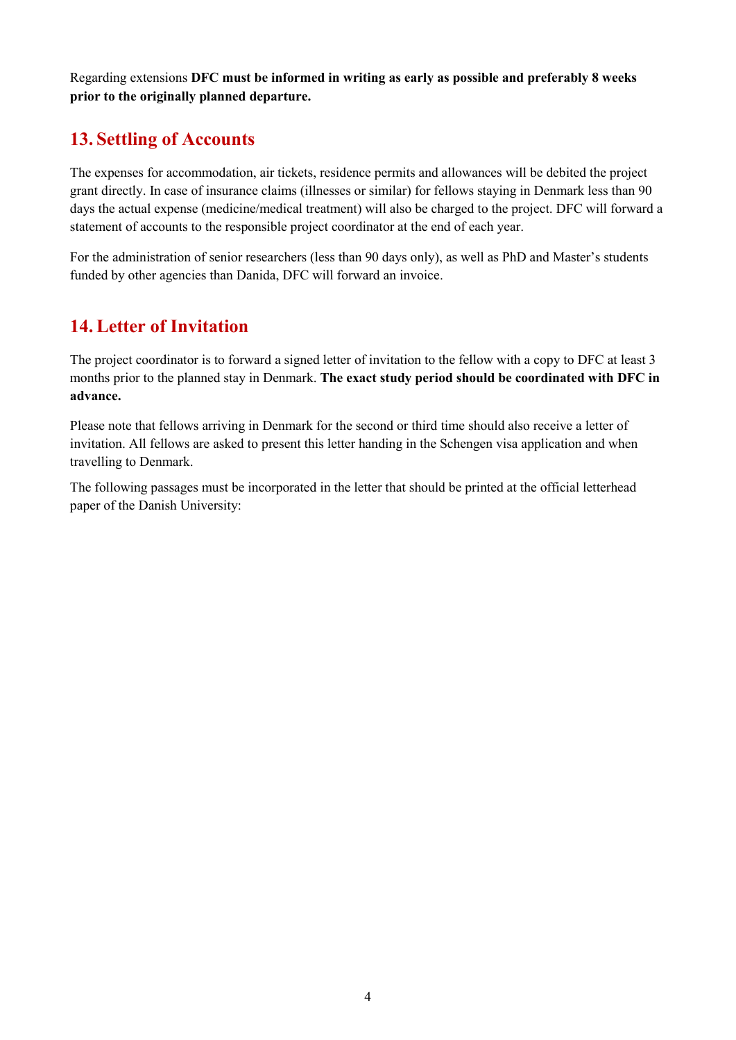Regarding extensions **DFC must be informed in writing as early as possible and preferably 8 weeks prior to the originally planned departure.**

## **13. Settling of Accounts**

The expenses for accommodation, air tickets, residence permits and allowances will be debited the project grant directly. In case of insurance claims (illnesses or similar) for fellows staying in Denmark less than 90 days the actual expense (medicine/medical treatment) will also be charged to the project. DFC will forward a statement of accounts to the responsible project coordinator at the end of each year.

For the administration of senior researchers (less than 90 days only), as well as PhD and Master's students funded by other agencies than Danida, DFC will forward an invoice.

# **14.Letter of Invitation**

The project coordinator is to forward a signed letter of invitation to the fellow with a copy to DFC at least 3 months prior to the planned stay in Denmark. **The exact study period should be coordinated with DFC in advance.**

Please note that fellows arriving in Denmark for the second or third time should also receive a letter of invitation. All fellows are asked to present this letter handing in the Schengen visa application and when travelling to Denmark.

The following passages must be incorporated in the letter that should be printed at the official letterhead paper of the Danish University: